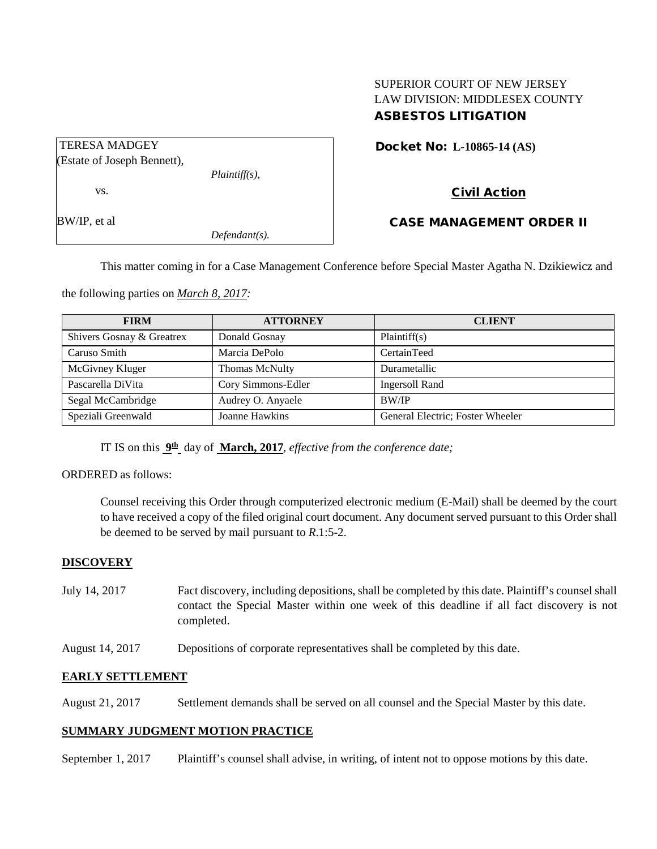# SUPERIOR COURT OF NEW JERSEY LAW DIVISION: MIDDLESEX COUNTY ASBESTOS LITIGATION

| <b>Docket No: L-10865-14 (AS)</b> |
|-----------------------------------|
|-----------------------------------|

# (Estate of Joseph Bennett),

vs.

TERESA MADGEY

BW/IP, et al

# Civil Action

CASE MANAGEMENT ORDER II

This matter coming in for a Case Management Conference before Special Master Agatha N. Dzikiewicz and

the following parties on *March 8, 2017:*

| <b>FIRM</b>               | <b>ATTORNEY</b>    | <b>CLIENT</b>                    |
|---------------------------|--------------------|----------------------------------|
| Shivers Gosnay & Greatrex | Donald Gosnay      | Plaintiff(s)                     |
| Caruso Smith              | Marcia DePolo      | CertainTeed                      |
| McGivney Kluger           | Thomas McNulty     | Durametallic                     |
| Pascarella DiVita         | Cory Simmons-Edler | <b>Ingersoll Rand</b>            |
| Segal McCambridge         | Audrey O. Anyaele  | <b>BW/IP</b>                     |
| Speziali Greenwald        | Joanne Hawkins     | General Electric; Foster Wheeler |

IT IS on this **9th** day of **March, 2017**, *effective from the conference date;*

*Plaintiff(s),*

*Defendant(s).*

# ORDERED as follows:

Counsel receiving this Order through computerized electronic medium (E-Mail) shall be deemed by the court to have received a copy of the filed original court document. Any document served pursuant to this Order shall be deemed to be served by mail pursuant to *R*.1:5-2.

# **DISCOVERY**

- July 14, 2017 Fact discovery, including depositions, shall be completed by this date. Plaintiff's counsel shall contact the Special Master within one week of this deadline if all fact discovery is not completed.
- August 14, 2017 Depositions of corporate representatives shall be completed by this date.

# **EARLY SETTLEMENT**

August 21, 2017 Settlement demands shall be served on all counsel and the Special Master by this date.

# **SUMMARY JUDGMENT MOTION PRACTICE**

September 1, 2017 Plaintiff's counsel shall advise, in writing, of intent not to oppose motions by this date.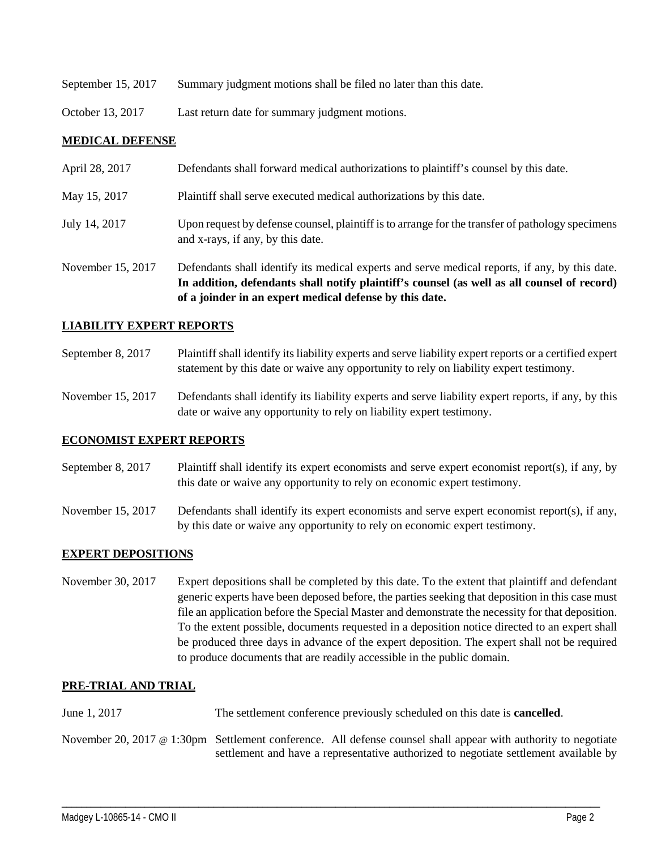- September 15, 2017 Summary judgment motions shall be filed no later than this date.
- October 13, 2017 Last return date for summary judgment motions.

# **MEDICAL DEFENSE**

|                   | In addition, defendants shall notify plaintiff's counsel (as well as all counsel of record)<br>of a joinder in an expert medical defense by this date. |
|-------------------|--------------------------------------------------------------------------------------------------------------------------------------------------------|
| November 15, 2017 | Defendants shall identify its medical experts and serve medical reports, if any, by this date.                                                         |
| July 14, 2017     | Upon request by defense counsel, plaintiff is to arrange for the transfer of pathology specimens<br>and x-rays, if any, by this date.                  |
| May 15, 2017      | Plaintiff shall serve executed medical authorizations by this date.                                                                                    |
| April 28, 2017    | Defendants shall forward medical authorizations to plaintiff's counsel by this date.                                                                   |

#### **LIABILITY EXPERT REPORTS**

- September 8, 2017 Plaintiff shall identify its liability experts and serve liability expert reports or a certified expert statement by this date or waive any opportunity to rely on liability expert testimony.
- November 15, 2017 Defendants shall identify its liability experts and serve liability expert reports, if any, by this date or waive any opportunity to rely on liability expert testimony.

#### **ECONOMIST EXPERT REPORTS**

September 8, 2017 Plaintiff shall identify its expert economists and serve expert economist report(s), if any, by this date or waive any opportunity to rely on economic expert testimony.

November 15, 2017 Defendants shall identify its expert economists and serve expert economist report(s), if any, by this date or waive any opportunity to rely on economic expert testimony.

#### **EXPERT DEPOSITIONS**

November 30, 2017 Expert depositions shall be completed by this date. To the extent that plaintiff and defendant generic experts have been deposed before, the parties seeking that deposition in this case must file an application before the Special Master and demonstrate the necessity for that deposition. To the extent possible, documents requested in a deposition notice directed to an expert shall be produced three days in advance of the expert deposition. The expert shall not be required to produce documents that are readily accessible in the public domain.

#### **PRE-TRIAL AND TRIAL**

- June 1, 2017 The settlement conference previously scheduled on this date is **cancelled**.
- November 20, 2017 @ 1:30pm Settlement conference. All defense counsel shall appear with authority to negotiate settlement and have a representative authorized to negotiate settlement available by

\_\_\_\_\_\_\_\_\_\_\_\_\_\_\_\_\_\_\_\_\_\_\_\_\_\_\_\_\_\_\_\_\_\_\_\_\_\_\_\_\_\_\_\_\_\_\_\_\_\_\_\_\_\_\_\_\_\_\_\_\_\_\_\_\_\_\_\_\_\_\_\_\_\_\_\_\_\_\_\_\_\_\_\_\_\_\_\_\_\_\_\_\_\_\_\_\_\_\_\_\_\_\_\_\_\_\_\_\_\_